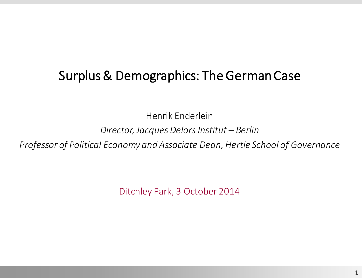# Surplus & Demographics: The German Case

Henrik Enderlein

#### *Director, Jacques Delors Institut – Berlin*

*Professor of Political Economy and Associate Dean, Hertie School of Governance*

Ditchley Park, 3 October 2014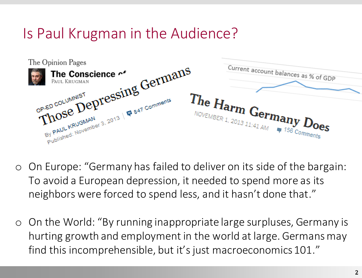# Is Paul Krugman in the Audience?



- o On Europe: "Germany has failed to deliver on its side of the bargain: To avoid a European depression, it needed to spend more as its neighbors were forced to spend less, and it hasn't done that."
- o On the World: "By running inappropriate large surpluses, Germany is hurting growth and employment in the world at large. Germans may find this incomprehensible, but it's just macroeconomics 101."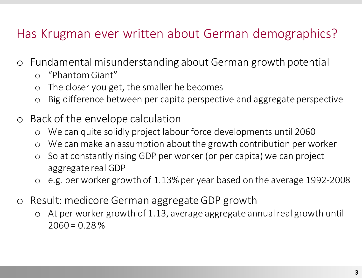# Has Krugman ever written about German demographics?

- o Fundamental misunderstanding about German growth potential
	- o "Phantom Giant"
	- o The closer you get, the smaller he becomes
	- o Big difference between per capita perspective and aggregate perspective
- o Back of the envelope calculation
	- o We can quite solidly project labour force developments until 2060
	- o We can make an assumption about the growth contribution per worker
	- o So at constantly rising GDP per worker (or per capita) we can project aggregate real GDP
	- o e.g. per worker growth of 1.13% per year based on the average 1992-2008
- o Result: medicore German aggregate GDP growth
	- o At per worker growth of 1.13, average aggregate annual real growth until  $2060 = 0.28\%$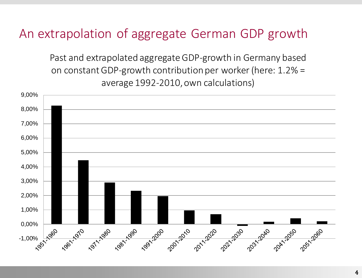### An extrapolation of aggregate German GDP growth

Past and extrapolated aggregateGDP-growth in Germany based on constantGDP-growth contribution per worker(here: 1.2% = average 1992-2010, own calculations)

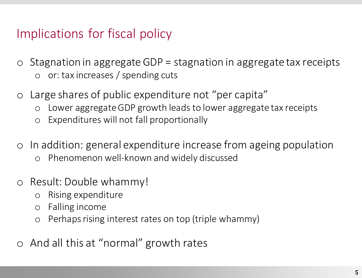# Implications for fiscal policy

- $\circ$  Stagnation in aggregate GDP = stagnation in aggregate tax receipts o or: tax increases / spending cuts
	-
- o Large shares of public expenditure not "per capita"
	- o Lower aggregate GDP growth leads to lower aggregate tax receipts
	- o Expenditures will not fall proportionally
- o In addition: general expenditure increase from ageing population
	- o Phenomenon well-known and widely discussed
- o Result: Double whammy!
	- o Rising expenditure
	- o Falling income
	- o Perhaps rising interest rates on top (triple whammy)
- o And all this at "normal" growth rates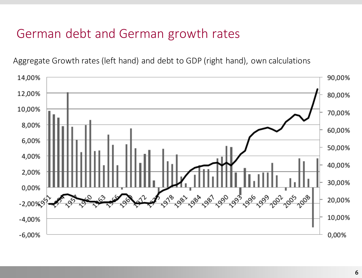# German debt and German growth rates

Aggregate Growth rates (left hand) and debt to GDP (right hand), own calculations

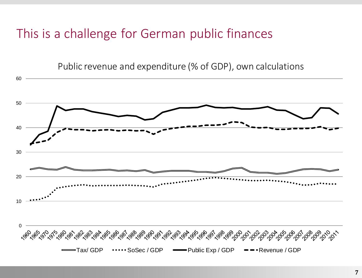### This is a challenge for German public finances

Public revenue and expenditure (% of GDP), own calculations